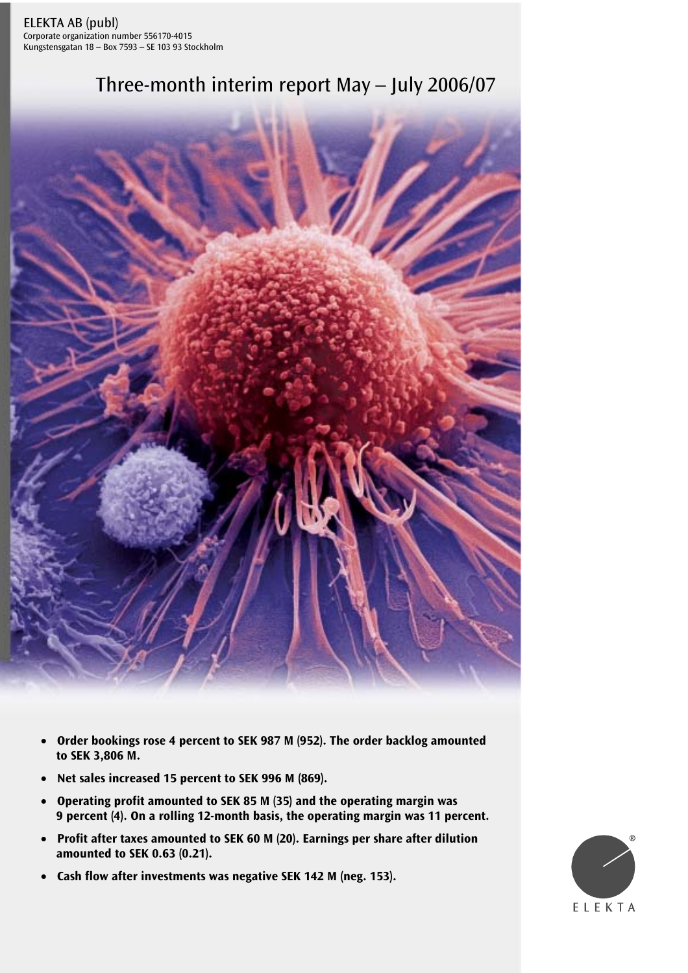# Three-month interim report May – July 2006/07



- **Order bookings rose 4 percent to SEK 987 M (952). The order backlog amounted to SEK 3,806 M.**
- **Net sales increased 15 percent to SEK 996 M (869).**
- **Operating profit amounted to SEK 85 M (35) and the operating margin was 9 percent (4). On a rolling 12-month basis, the operating margin was 11 percent.**
- **Profit after taxes amounted to SEK 60 M (20). Earnings per share after dilution amounted to SEK 0.63 (0.21).**
- **Cash flow after investments was negative SEK 142 M (neg. 153).**

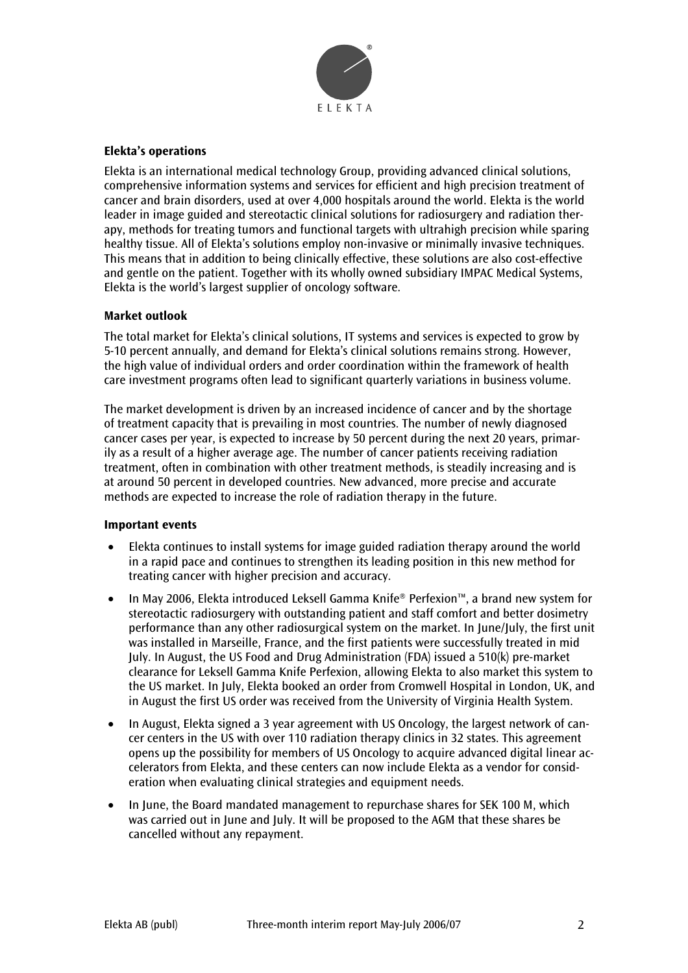

# **Elekta's operations**

Elekta is an international medical technology Group, providing advanced clinical solutions, comprehensive information systems and services for efficient and high precision treatment of cancer and brain disorders, used at over 4,000 hospitals around the world. Elekta is the world leader in image guided and stereotactic clinical solutions for radiosurgery and radiation therapy, methods for treating tumors and functional targets with ultrahigh precision while sparing healthy tissue. All of Elekta's solutions employ non-invasive or minimally invasive techniques. This means that in addition to being clinically effective, these solutions are also cost-effective and gentle on the patient. Together with its wholly owned subsidiary IMPAC Medical Systems, Elekta is the world's largest supplier of oncology software.

#### **Market outlook**

The total market for Elekta's clinical solutions, IT systems and services is expected to grow by 5-10 percent annually, and demand for Elekta's clinical solutions remains strong. However, the high value of individual orders and order coordination within the framework of health care investment programs often lead to significant quarterly variations in business volume.

The market development is driven by an increased incidence of cancer and by the shortage of treatment capacity that is prevailing in most countries. The number of newly diagnosed cancer cases per year, is expected to increase by 50 percent during the next 20 years, primarily as a result of a higher average age. The number of cancer patients receiving radiation treatment, often in combination with other treatment methods, is steadily increasing and is at around 50 percent in developed countries. New advanced, more precise and accurate methods are expected to increase the role of radiation therapy in the future.

#### **Important events**

- Elekta continues to install systems for image guided radiation therapy around the world in a rapid pace and continues to strengthen its leading position in this new method for treating cancer with higher precision and accuracy.
- In May 2006, Elekta introduced Leksell Gamma Knife® Perfexion™, a brand new system for stereotactic radiosurgery with outstanding patient and staff comfort and better dosimetry performance than any other radiosurgical system on the market. In June/July, the first unit was installed in Marseille, France, and the first patients were successfully treated in mid July. In August, the US Food and Drug Administration (FDA) issued a 510(k) pre-market clearance for Leksell Gamma Knife Perfexion, allowing Elekta to also market this system to the US market. In July, Elekta booked an order from Cromwell Hospital in London, UK, and in August the first US order was received from the University of Virginia Health System.
- In August, Elekta signed a 3 year agreement with US Oncology, the largest network of cancer centers in the US with over 110 radiation therapy clinics in 32 states. This agreement opens up the possibility for members of US Oncology to acquire advanced digital linear accelerators from Elekta, and these centers can now include Elekta as a vendor for consideration when evaluating clinical strategies and equipment needs.
- In June, the Board mandated management to repurchase shares for SEK 100 M, which was carried out in June and July. It will be proposed to the AGM that these shares be cancelled without any repayment.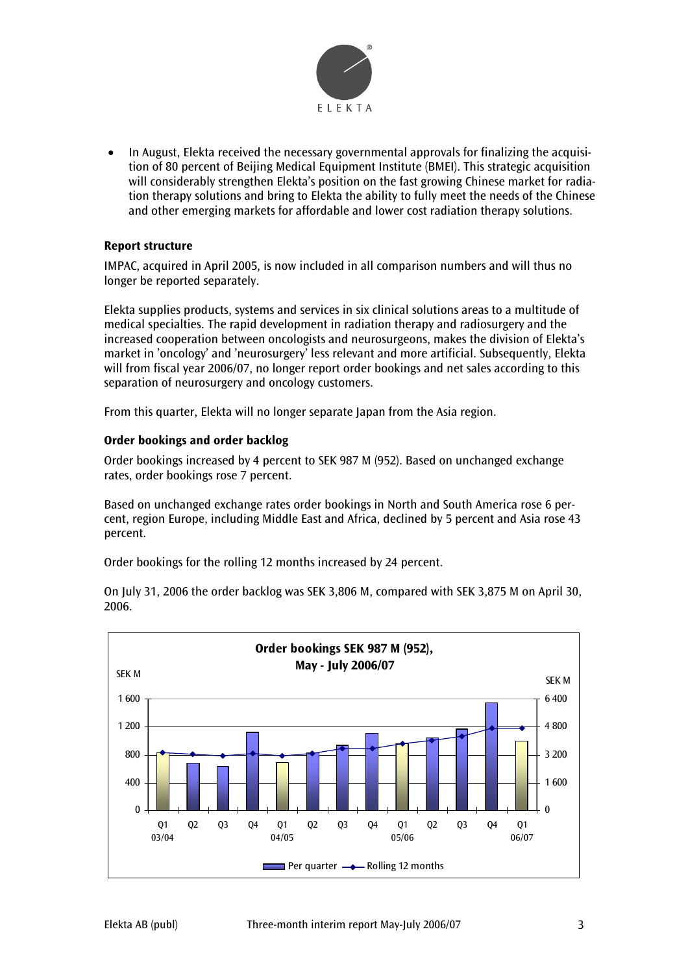

• In August, Elekta received the necessary governmental approvals for finalizing the acquisition of 80 percent of Beijing Medical Equipment Institute (BMEI). This strategic acquisition will considerably strengthen Elekta's position on the fast growing Chinese market for radiation therapy solutions and bring to Elekta the ability to fully meet the needs of the Chinese and other emerging markets for affordable and lower cost radiation therapy solutions.

# **Report structure**

IMPAC, acquired in April 2005, is now included in all comparison numbers and will thus no longer be reported separately.

Elekta supplies products, systems and services in six clinical solutions areas to a multitude of medical specialties. The rapid development in radiation therapy and radiosurgery and the increased cooperation between oncologists and neurosurgeons, makes the division of Elekta's market in 'oncology' and 'neurosurgery' less relevant and more artificial. Subsequently, Elekta will from fiscal year 2006/07, no longer report order bookings and net sales according to this separation of neurosurgery and oncology customers.

From this quarter, Elekta will no longer separate Japan from the Asia region.

# **Order bookings and order backlog**

Order bookings increased by 4 percent to SEK 987 M (952). Based on unchanged exchange rates, order bookings rose 7 percent.

Based on unchanged exchange rates order bookings in North and South America rose 6 percent, region Europe, including Middle East and Africa, declined by 5 percent and Asia rose 43 percent.

Order bookings for the rolling 12 months increased by 24 percent.



On July 31, 2006 the order backlog was SEK 3,806 M, compared with SEK 3,875 M on April 30, 2006.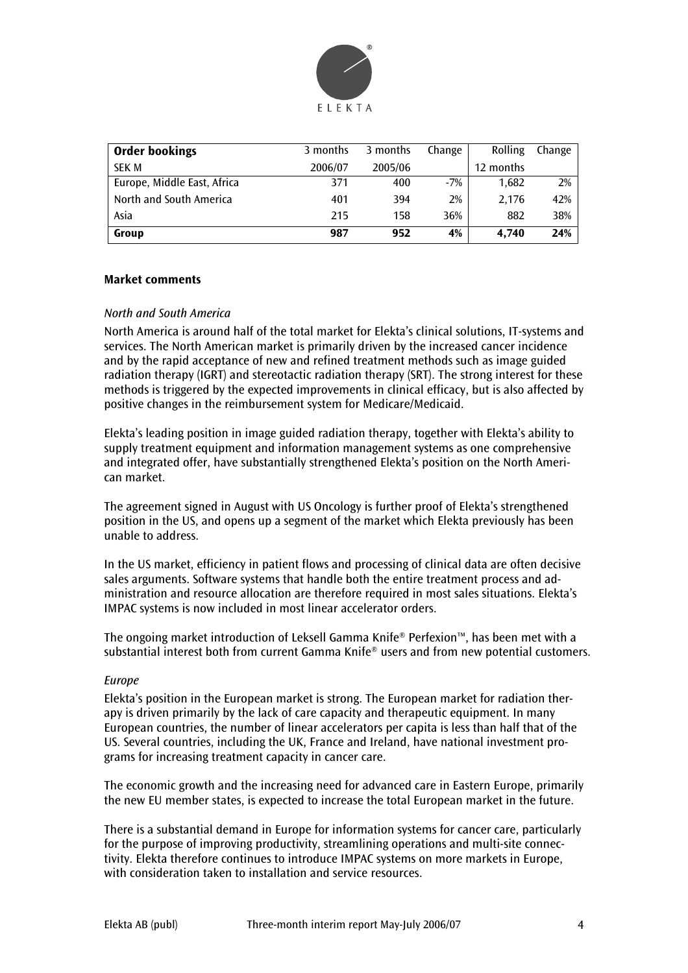

| <b>Order bookings</b>       | 3 months | 3 months | Change | Rolling   | Change |
|-----------------------------|----------|----------|--------|-----------|--------|
| <b>SEK M</b>                | 2006/07  | 2005/06  |        | 12 months |        |
| Europe, Middle East, Africa | 371      | 400      | $-7%$  | 1,682     | 2%     |
| North and South America     | 401      | 394      | 2%     | 2.176     | 42%    |
| Asia                        | 215      | 158      | 36%    | 882       | 38%    |
| Group                       | 987      | 952      | 4%     | 4.740     | 24%    |

#### **Market comments**

#### *North and South America*

North America is around half of the total market for Elekta's clinical solutions, IT-systems and services. The North American market is primarily driven by the increased cancer incidence and by the rapid acceptance of new and refined treatment methods such as image guided radiation therapy (IGRT) and stereotactic radiation therapy (SRT). The strong interest for these methods is triggered by the expected improvements in clinical efficacy, but is also affected by positive changes in the reimbursement system for Medicare/Medicaid.

Elekta's leading position in image guided radiation therapy, together with Elekta's ability to supply treatment equipment and information management systems as one comprehensive and integrated offer, have substantially strengthened Elekta's position on the North American market.

The agreement signed in August with US Oncology is further proof of Elekta's strengthened position in the US, and opens up a segment of the market which Elekta previously has been unable to address.

In the US market, efficiency in patient flows and processing of clinical data are often decisive sales arguments. Software systems that handle both the entire treatment process and administration and resource allocation are therefore required in most sales situations. Elekta's IMPAC systems is now included in most linear accelerator orders.

The ongoing market introduction of Leksell Gamma Knife® Perfexion™, has been met with a substantial interest both from current Gamma Knife® users and from new potential customers.

#### *Europe*

Elekta's position in the European market is strong. The European market for radiation therapy is driven primarily by the lack of care capacity and therapeutic equipment. In many European countries, the number of linear accelerators per capita is less than half that of the US. Several countries, including the UK, France and Ireland, have national investment programs for increasing treatment capacity in cancer care.

The economic growth and the increasing need for advanced care in Eastern Europe, primarily the new EU member states, is expected to increase the total European market in the future.

There is a substantial demand in Europe for information systems for cancer care, particularly for the purpose of improving productivity, streamlining operations and multi-site connectivity. Elekta therefore continues to introduce IMPAC systems on more markets in Europe, with consideration taken to installation and service resources.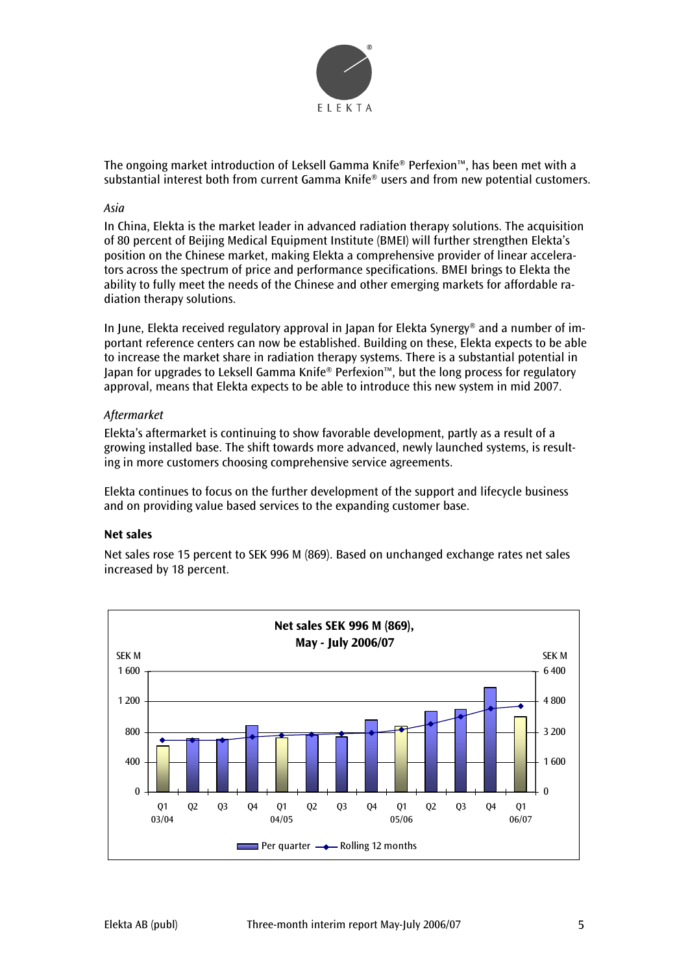

The ongoing market introduction of Leksell Gamma Knife® Perfexion™, has been met with a substantial interest both from current Gamma Knife® users and from new potential customers.

#### *Asia*

In China, Elekta is the market leader in advanced radiation therapy solutions. The acquisition of 80 percent of Beijing Medical Equipment Institute (BMEI) will further strengthen Elekta's position on the Chinese market, making Elekta a comprehensive provider of linear accelerators across the spectrum of price and performance specifications. BMEI brings to Elekta the ability to fully meet the needs of the Chinese and other emerging markets for affordable radiation therapy solutions.

In June, Elekta received regulatory approval in Japan for Elekta Synergy® and a number of important reference centers can now be established. Building on these, Elekta expects to be able to increase the market share in radiation therapy systems. There is a substantial potential in Japan for upgrades to Leksell Gamma Knife® Perfexion™, but the long process for regulatory approval, means that Elekta expects to be able to introduce this new system in mid 2007.

# *Aftermarket*

Elekta's aftermarket is continuing to show favorable development, partly as a result of a growing installed base. The shift towards more advanced, newly launched systems, is resulting in more customers choosing comprehensive service agreements.

Elekta continues to focus on the further development of the support and lifecycle business and on providing value based services to the expanding customer base.

#### **Net sales**

Net sales rose 15 percent to SEK 996 M (869). Based on unchanged exchange rates net sales increased by 18 percent.

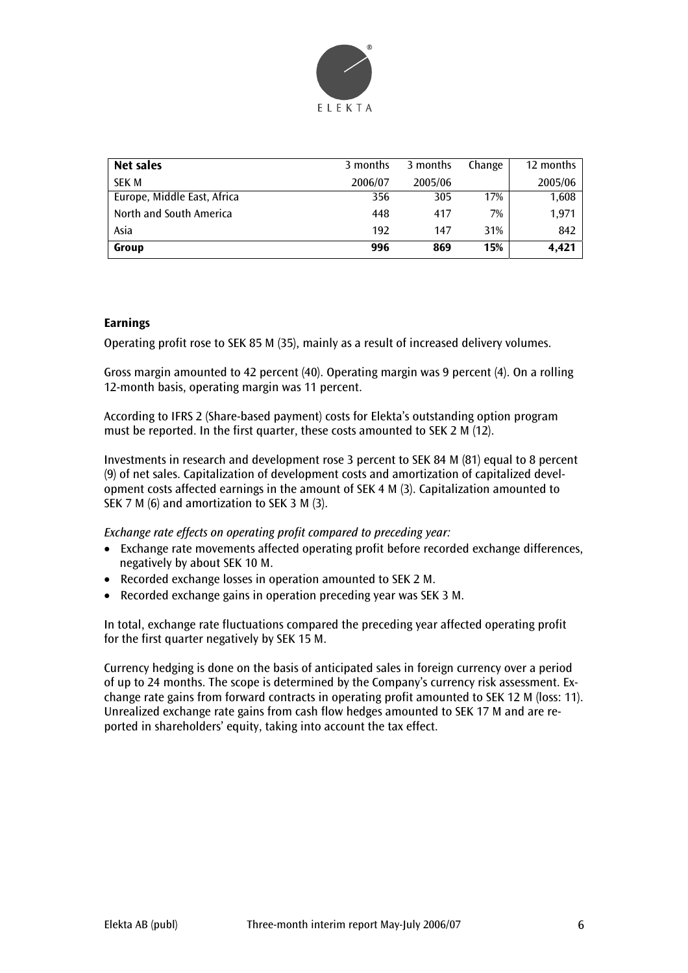

| Net sales                   | 3 months | 3 months | Change | 12 months |
|-----------------------------|----------|----------|--------|-----------|
| <b>SEK M</b>                | 2006/07  | 2005/06  |        | 2005/06   |
| Europe, Middle East, Africa | 356      | 305      | 17%    | 1,608     |
| North and South America     | 448      | 417      | 7%     | 1.971     |
| Asia                        | 192      | 147      | 31%    | 842       |
| Group                       | 996      | 869      | 15%    | 4.421     |

# **Earnings**

Operating profit rose to SEK 85 M (35), mainly as a result of increased delivery volumes.

Gross margin amounted to 42 percent (40). Operating margin was 9 percent (4). On a rolling 12-month basis, operating margin was 11 percent.

According to IFRS 2 (Share-based payment) costs for Elekta's outstanding option program must be reported. In the first quarter, these costs amounted to SEK 2 M (12).

Investments in research and development rose 3 percent to SEK 84 M (81) equal to 8 percent (9) of net sales. Capitalization of development costs and amortization of capitalized development costs affected earnings in the amount of SEK 4 M (3). Capitalization amounted to SEK 7 M (6) and amortization to SEK 3 M (3).

*Exchange rate effects on operating profit compared to preceding year:* 

- Exchange rate movements affected operating profit before recorded exchange differences, negatively by about SEK 10 M.
- Recorded exchange losses in operation amounted to SEK 2 M.
- Recorded exchange gains in operation preceding year was SEK 3 M.

In total, exchange rate fluctuations compared the preceding year affected operating profit for the first quarter negatively by SEK 15 M.

Currency hedging is done on the basis of anticipated sales in foreign currency over a period of up to 24 months. The scope is determined by the Company's currency risk assessment. Exchange rate gains from forward contracts in operating profit amounted to SEK 12 M (loss: 11). Unrealized exchange rate gains from cash flow hedges amounted to SEK 17 M and are reported in shareholders' equity, taking into account the tax effect.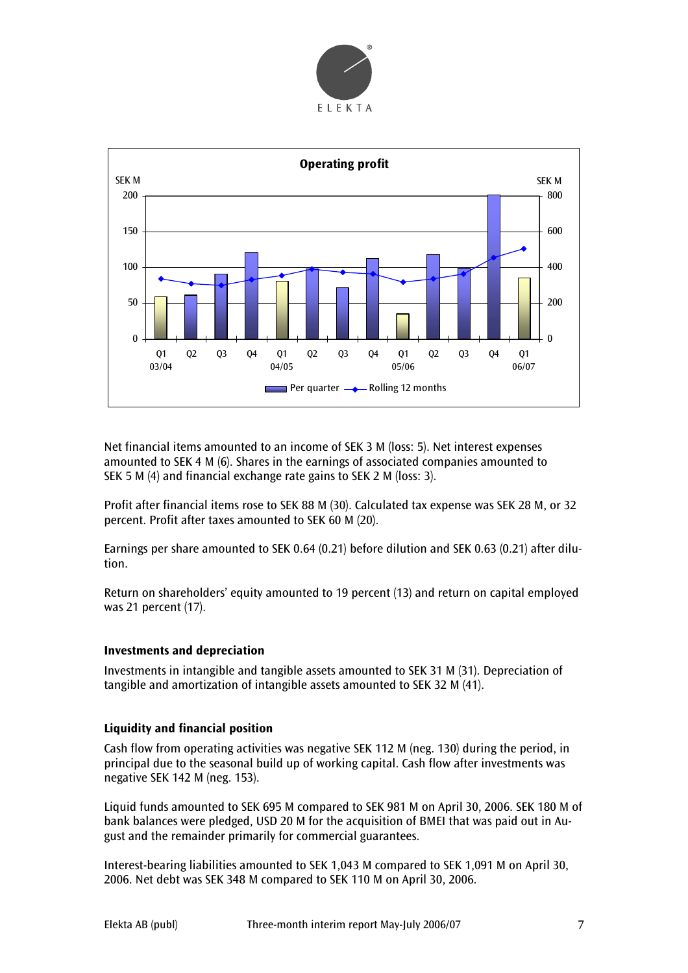



Net financial items amounted to an income of SEK 3 M (loss: 5). Net interest expenses amounted to SEK 4 M (6). Shares in the earnings of associated companies amounted to SEK 5 M (4) and financial exchange rate gains to SEK 2 M (loss: 3).

Profit after financial items rose to SEK 88 M (30). Calculated tax expense was SEK 28 M, or 32 percent. Profit after taxes amounted to SEK 60 M (20).

Earnings per share amounted to SEK 0.64 (0.21) before dilution and SEK 0.63 (0.21) after dilution.

Return on shareholders' equity amounted to 19 percent (13) and return on capital employed was 21 percent (17).

#### **Investments and depreciation**

Investments in intangible and tangible assets amounted to SEK 31 M (31). Depreciation of tangible and amortization of intangible assets amounted to SEK 32 M (41).

#### **Liquidity and financial position**

Cash flow from operating activities was negative SEK 112 M (neg. 130) during the period, in principal due to the seasonal build up of working capital. Cash flow after investments was negative SEK 142 M (neg. 153).

Liquid funds amounted to SEK 695 M compared to SEK 981 M on April 30, 2006. SEK 180 M of bank balances were pledged, USD 20 M for the acquisition of BMEI that was paid out in August and the remainder primarily for commercial guarantees.

Interest-bearing liabilities amounted to SEK 1,043 M compared to SEK 1,091 M on April 30, 2006. Net debt was SEK 348 M compared to SEK 110 M on April 30, 2006.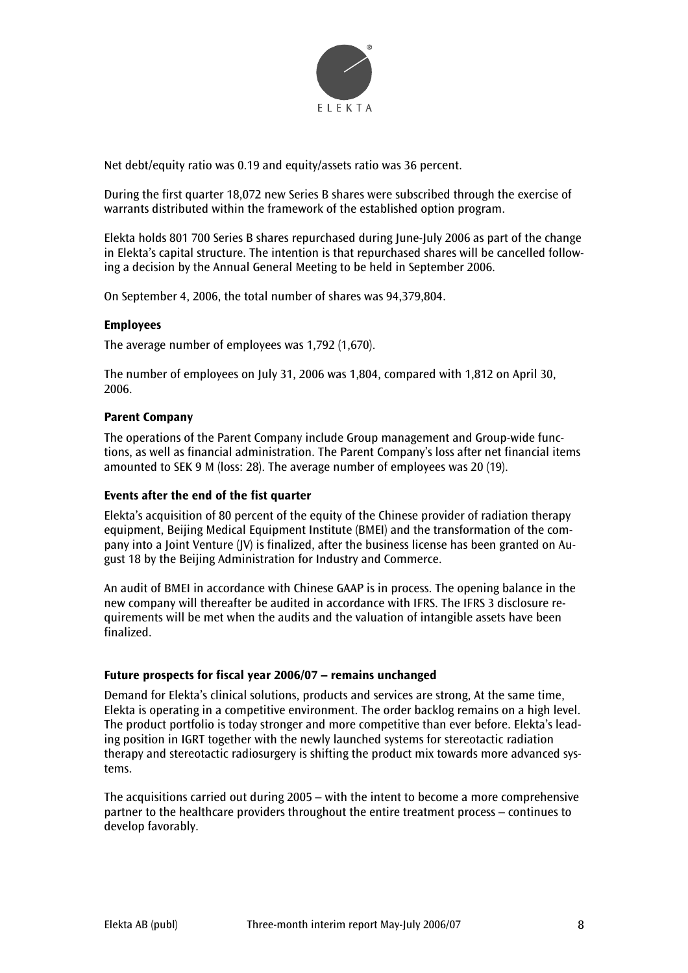

Net debt/equity ratio was 0.19 and equity/assets ratio was 36 percent.

During the first quarter 18,072 new Series B shares were subscribed through the exercise of warrants distributed within the framework of the established option program.

Elekta holds 801 700 Series B shares repurchased during June-July 2006 as part of the change in Elekta's capital structure. The intention is that repurchased shares will be cancelled following a decision by the Annual General Meeting to be held in September 2006.

On September 4, 2006, the total number of shares was 94,379,804.

# **Employees**

The average number of employees was 1,792 (1,670).

The number of employees on July 31, 2006 was 1,804, compared with 1,812 on April 30, 2006.

#### **Parent Company**

The operations of the Parent Company include Group management and Group-wide functions, as well as financial administration. The Parent Company's loss after net financial items amounted to SEK 9 M (loss: 28). The average number of employees was 20 (19).

#### **Events after the end of the fist quarter**

Elekta's acquisition of 80 percent of the equity of the Chinese provider of radiation therapy equipment, Beijing Medical Equipment Institute (BMEI) and the transformation of the company into a Joint Venture (JV) is finalized, after the business license has been granted on August 18 by the Beijing Administration for Industry and Commerce.

An audit of BMEI in accordance with Chinese GAAP is in process. The opening balance in the new company will thereafter be audited in accordance with IFRS. The IFRS 3 disclosure requirements will be met when the audits and the valuation of intangible assets have been finalized.

#### **Future prospects for fiscal year 2006/07 – remains unchanged**

Demand for Elekta's clinical solutions, products and services are strong, At the same time, Elekta is operating in a competitive environment. The order backlog remains on a high level. The product portfolio is today stronger and more competitive than ever before. Elekta's leading position in IGRT together with the newly launched systems for stereotactic radiation therapy and stereotactic radiosurgery is shifting the product mix towards more advanced systems.

The acquisitions carried out during 2005 – with the intent to become a more comprehensive partner to the healthcare providers throughout the entire treatment process – continues to develop favorably.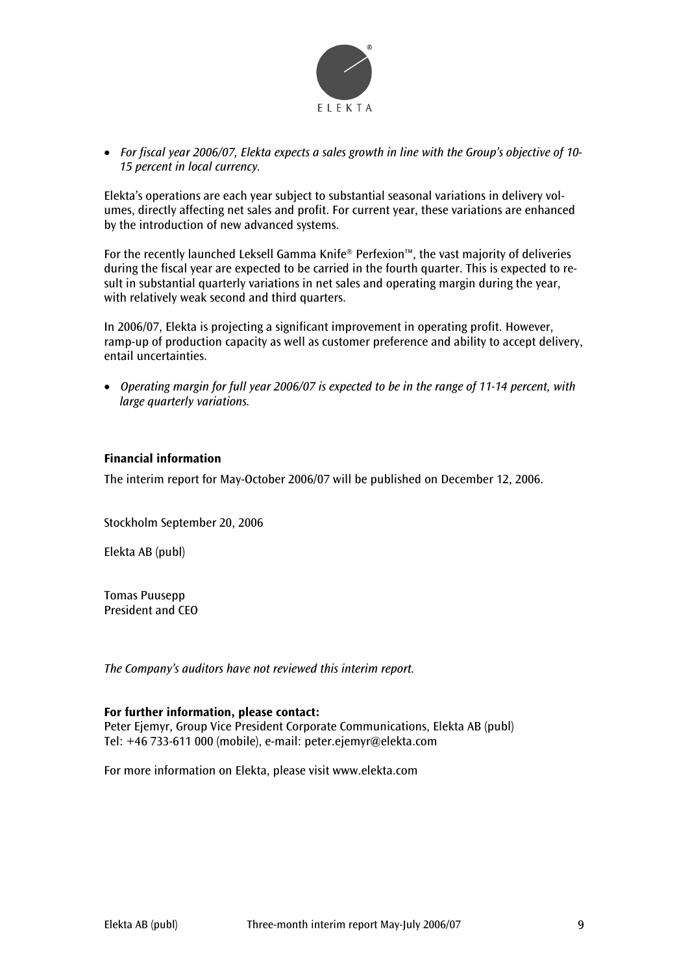

• *For fiscal year 2006/07, Elekta expects a sales growth in line with the Group's objective of 10- 15 percent in local currency.* 

Elekta's operations are each year subject to substantial seasonal variations in delivery volumes, directly affecting net sales and profit. For current year, these variations are enhanced by the introduction of new advanced systems.

For the recently launched Leksell Gamma Knife® Perfexion™, the vast majority of deliveries during the fiscal year are expected to be carried in the fourth quarter. This is expected to result in substantial quarterly variations in net sales and operating margin during the year, with relatively weak second and third quarters.

In 2006/07, Elekta is projecting a significant improvement in operating profit. However, ramp-up of production capacity as well as customer preference and ability to accept delivery, entail uncertainties.

• *Operating margin for full year 2006/07 is expected to be in the range of 11-14 percent, with large quarterly variations.* 

# **Financial information**

The interim report for May-October 2006/07 will be published on December 12, 2006.

Stockholm September 20, 2006

Elekta AB (publ)

Tomas Puusepp President and CEO

*The Company's auditors have not reviewed this interim report.* 

#### **For further information, please contact:**

Peter Ejemyr, Group Vice President Corporate Communications, Elekta AB (publ) Tel: +46 733-611 000 (mobile), e-mail: peter.ejemyr@elekta.com

For more information on Elekta, please visit www.elekta.com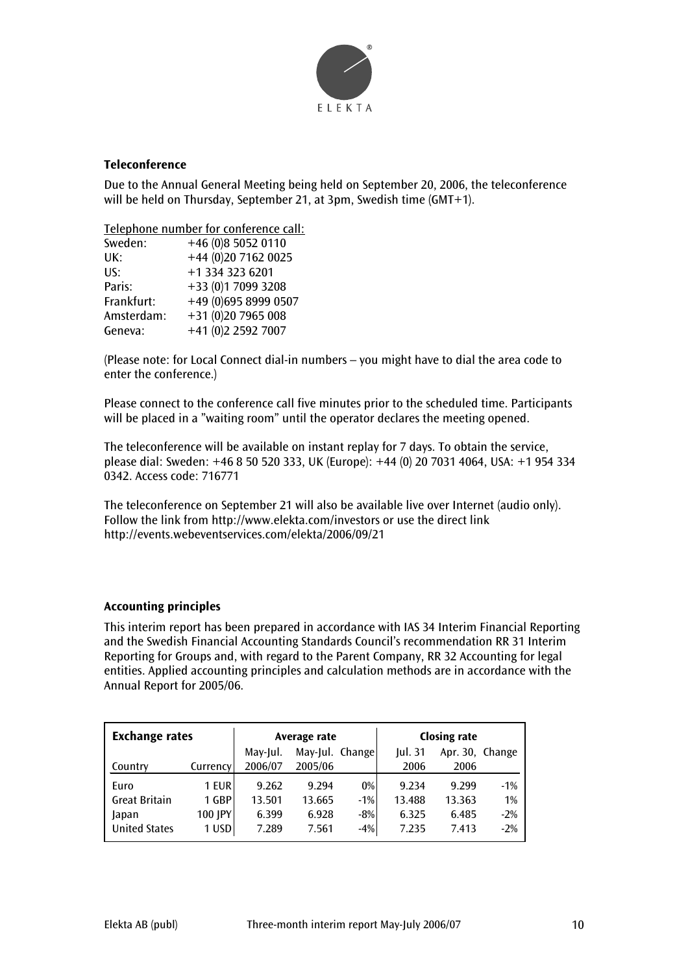

# **Teleconference**

Due to the Annual General Meeting being held on September 20, 2006, the teleconference will be held on Thursday, September 21, at 3pm, Swedish time (GMT+1).

Telephone number for conference call:

| +46 (0)8 5052 0110   |
|----------------------|
| +44 (0)20 7162 0025  |
| +1 334 323 6201      |
| +33 (0)1 7099 3208   |
| +49 (0)695 8999 0507 |
| +31 (0)20 7965 008   |
| +41 (0)2 2592 7007   |
|                      |

(Please note: for Local Connect dial-in numbers – you might have to dial the area code to enter the conference.)

Please connect to the conference call five minutes prior to the scheduled time. Participants will be placed in a "waiting room" until the operator declares the meeting opened.

The teleconference will be available on instant replay for 7 days. To obtain the service, please dial: Sweden: +46 8 50 520 333, UK (Europe): +44 (0) 20 7031 4064, USA: +1 954 334 0342. Access code: 716771

The teleconference on September 21 will also be available live over Internet (audio only). Follow the link from http://www.elekta.com/investors or use the direct link http://events.webeventservices.com/elekta/2006/09/21

# **Accounting principles**

This interim report has been prepared in accordance with IAS 34 Interim Financial Reporting and the Swedish Financial Accounting Standards Council's recommendation RR 31 Interim Reporting for Groups and, with regard to the Parent Company, RR 32 Accounting for legal entities. Applied accounting principles and calculation methods are in accordance with the Annual Report for 2005/06.

| <b>Exchange rates</b> |          |          | Average rate    |       | <b>Closing rate</b> |                 |       |
|-----------------------|----------|----------|-----------------|-------|---------------------|-----------------|-------|
|                       |          | May-Jul. | May-Jul. Change |       | <b>Iul. 31</b>      | Apr. 30. Change |       |
| Country               | Currency | 2006/07  | 2005/06         |       | 2006                | 2006            |       |
| Euro                  | 1 EUR    | 9.262    | 9.294           | 0%    | 9.234               | 9.299           | $-1%$ |
| <b>Great Britain</b>  | 1 GBP    | 13.501   | 13.665          | $-1%$ | 13.488              | 13.363          | 1%    |
| Japan                 | 100 JPY  | 6.399    | 6.928           | $-8%$ | 6.325               | 6.485           | $-2%$ |
| <b>United States</b>  | 1 USD    | 7.289    | 7.561           | $-4%$ | 7.235               | 7.413           | $-2%$ |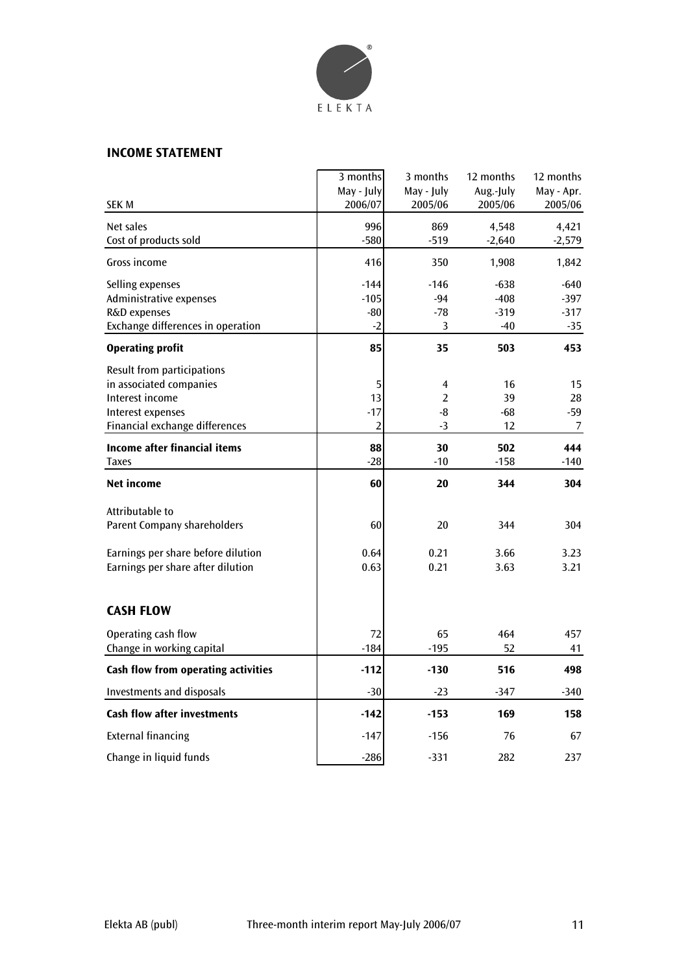

# **INCOME STATEMENT**

|                                     | 3 months       | 3 months       | 12 months | 12 months  |
|-------------------------------------|----------------|----------------|-----------|------------|
|                                     | May - July     | May - July     | Aug.-July | May - Apr. |
| <b>SEK M</b>                        | 2006/07        | 2005/06        | 2005/06   | 2005/06    |
| Net sales                           | 996            | 869            | 4,548     | 4,421      |
| Cost of products sold               | $-580$         | $-519$         | $-2,640$  | $-2,579$   |
| Gross income                        | 416            | 350            | 1,908     | 1,842      |
| Selling expenses                    | $-144$         | $-146$         | $-638$    | $-640$     |
| Administrative expenses             | $-105$         | $-94$          | $-408$    | $-397$     |
| R&D expenses                        | $-80$          | $-78$          | $-319$    | $-317$     |
| Exchange differences in operation   | $-2$           | 3              | $-40$     | -35        |
| <b>Operating profit</b>             | 85             | 35             | 503       | 453        |
| Result from participations          |                |                |           |            |
| in associated companies             | 5              | 4              | 16        | 15         |
| Interest income                     | 13             | $\overline{2}$ | 39        | 28         |
| Interest expenses                   | $-17$          | -8             | -68       | -59        |
| Financial exchange differences      | $\overline{2}$ | $-3$           | 12        | 7          |
| <b>Income after financial items</b> | 88             | 30             | 502       | 444        |
| <b>Taxes</b>                        | $-28$          | $-10$          | $-158$    | -140       |
| Net income                          | 60             | 20             | 344       | 304        |
| Attributable to                     |                |                |           |            |
| <b>Parent Company shareholders</b>  | 60             | 20             | 344       | 304        |
|                                     |                |                |           |            |
| Earnings per share before dilution  | 0.64           | 0.21           | 3.66      | 3.23       |
| Earnings per share after dilution   | 0.63           | 0.21           | 3.63      | 3.21       |
| <b>CASH FLOW</b>                    |                |                |           |            |
|                                     |                |                |           |            |
| Operating cash flow                 | 72             | 65             | 464       | 457        |
| Change in working capital           | $-184$         | $-195$         | 52        | 41         |
| Cash flow from operating activities | $-112$         | $-130$         | 516       | 498        |
| <b>Investments and disposals</b>    | $-30$          | $-23$          | $-347$    | $-340$     |
| <b>Cash flow after investments</b>  | $-142$         | $-153$         | 169       | 158        |
| <b>External financing</b>           | $-147$         | $-156$         | 76        | 67         |
| Change in liquid funds              | $-286$         | $-331$         | 282       | 237        |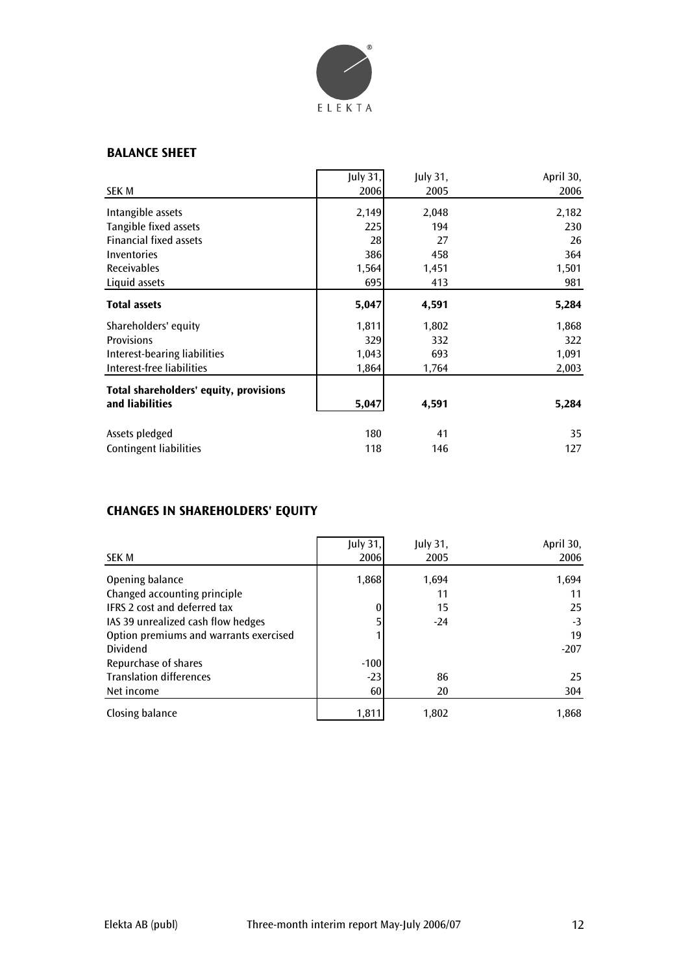

# **BALANCE SHEET**

| SEK M                                  | July 31,<br>2006 | July 31,<br>2005 | April 30,<br>2006 |
|----------------------------------------|------------------|------------------|-------------------|
|                                        |                  |                  |                   |
| Intangible assets                      | 2,149            | 2,048            | 2,182             |
| Tangible fixed assets                  | 225              | 194              | 230               |
| <b>Financial fixed assets</b>          | 28               | 27               | 26                |
| Inventories                            | 386              | 458              | 364               |
| <b>Receivables</b>                     | 1,564            | 1,451            | 1,501             |
| Liquid assets                          | 695              | 413              | 981               |
| <b>Total assets</b>                    | 5,047            | 4,591            | 5,284             |
| Shareholders' equity                   | 1,811            | 1,802            | 1,868             |
| <b>Provisions</b>                      | 329              | 332              | 322               |
| Interest-bearing liabilities           | 1,043            | 693              | 1,091             |
| Interest-free liabilities              | 1,864            | 1,764            | 2,003             |
| Total shareholders' equity, provisions |                  |                  |                   |
| and liabilities                        | 5,047            | 4,591            | 5,284             |
| Assets pledged                         | 180              | 41               | 35                |
| <b>Contingent liabilities</b>          | 118              | 146              | 127               |

# **CHANGES IN SHAREHOLDERS' EQUITY**

|                                        | July 31, | July 31, | April 30, |
|----------------------------------------|----------|----------|-----------|
| <b>SEK M</b>                           | 2006     | 2005     | 2006      |
| Opening balance                        | 1,868    | 1,694    | 1,694     |
| Changed accounting principle           |          | 11       | 11        |
| IFRS 2 cost and deferred tax           | 0        | 15       | 25        |
| IAS 39 unrealized cash flow hedges     |          | $-24$    | $-3$      |
| Option premiums and warrants exercised |          |          | 19        |
| Dividend                               |          |          | $-207$    |
| Repurchase of shares                   | $-100$   |          |           |
| <b>Translation differences</b>         | $-23$    | 86       | 25        |
| Net income                             | 60       | 20       | 304       |
| Closing balance                        | 1,811    | 1,802    | 1,868     |